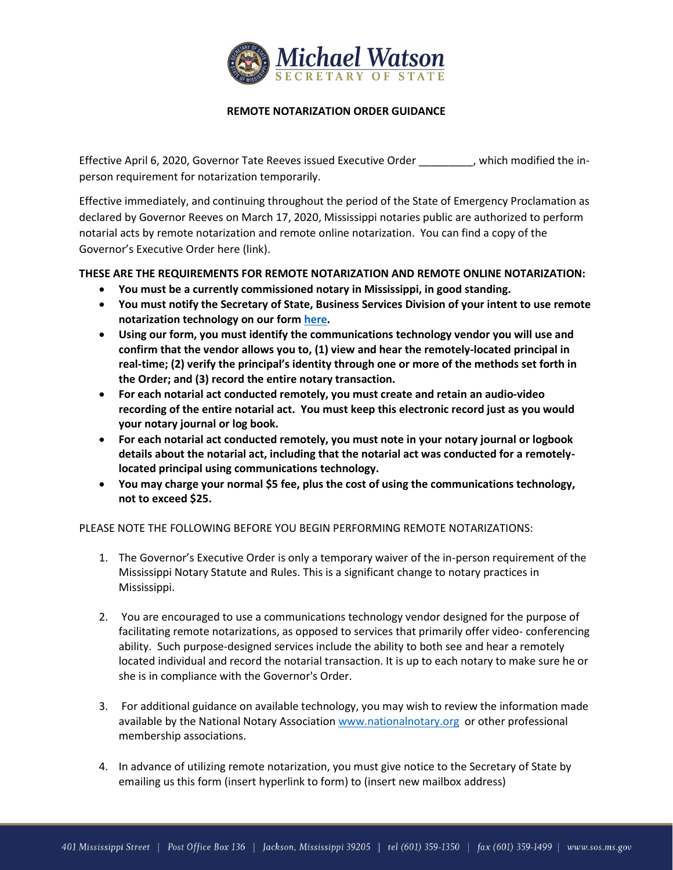

## **REMOTE NOTARIZATION ORDER GUIDANCE**

Effective April 6, 2020, Governor Tate Reeves issued Executive Order \_\_\_\_\_\_\_\_\_, which modified the inperson requirement for notarization temporarily.

Effective immediately, and continuing throughout the period of the State of Emergency Proclamation as declared by Governor Reeves on March 17, 2020, Mississippi notaries public are authorized to perform notarial acts by remote notarization and remote online notarization. You can find a copy of the Governor's Executive Order here (link).

# **THESE ARE THE REQUIREMENTS FOR REMOTE NOTARIZATION AND REMOTE ONLINE NOTARIZATION:**

- **You must be a currently commissioned notary in Mississippi, in good standing.**
- **You must notify the Secretary of State, Business Services Division of your intent to use remote notarization technology on our for[m here.](https://www.sos.ms.gov/Content/documents/Business/notaries/FillableRemoteNotaryNotificationForm.pdf)**
- **Using our form, you must identify the communications technology vendor you will use and confirm that the vendor allows you to, (1) view and hear the remotely-located principal in real-time; (2) verify the principal's identity through one or more of the methods set forth in the Order; and (3) record the entire notary transaction.**
- **For each notarial act conducted remotely, you must create and retain an audio-video recording of the entire notarial act. You must keep this electronic record just as you would your notary journal or log book.**
- **For each notarial act conducted remotely, you must note in your notary journal or logbook details about the notarial act, including that the notarial act was conducted for a remotelylocated principal using communications technology.**
- **You may charge your normal \$5 fee, plus the cost of using the communications technology, not to exceed \$25.**

PLEASE NOTE THE FOLLOWING BEFORE YOU BEGIN PERFORMING REMOTE NOTARIZATIONS:

- 1. The Governor's Executive Order is only a temporary waiver of the in-person requirement of the Mississippi Notary Statute and Rules. This is a significant change to notary practices in Mississippi.
- 2. You are encouraged to use a communications technology vendor designed for the purpose of facilitating remote notarizations, as opposed to services that primarily offer video- conferencing ability. Such purpose-designed services include the ability to both see and hear a remotely located individual and record the notarial transaction. It is up to each notary to make sure he or she is in compliance with the Governor's Order.
- 3. For additional guidance on available technology, you may wish to review the information made available by the National Notary Association [www.nationalnotary.org](http://www.nationalnotary.org/) or other professional membership associations.
- 4. In advance of utilizing remote notarization, you must give notice to the Secretary of State by emailing us this form (insert hyperlink to form) to (insert new mailbox address)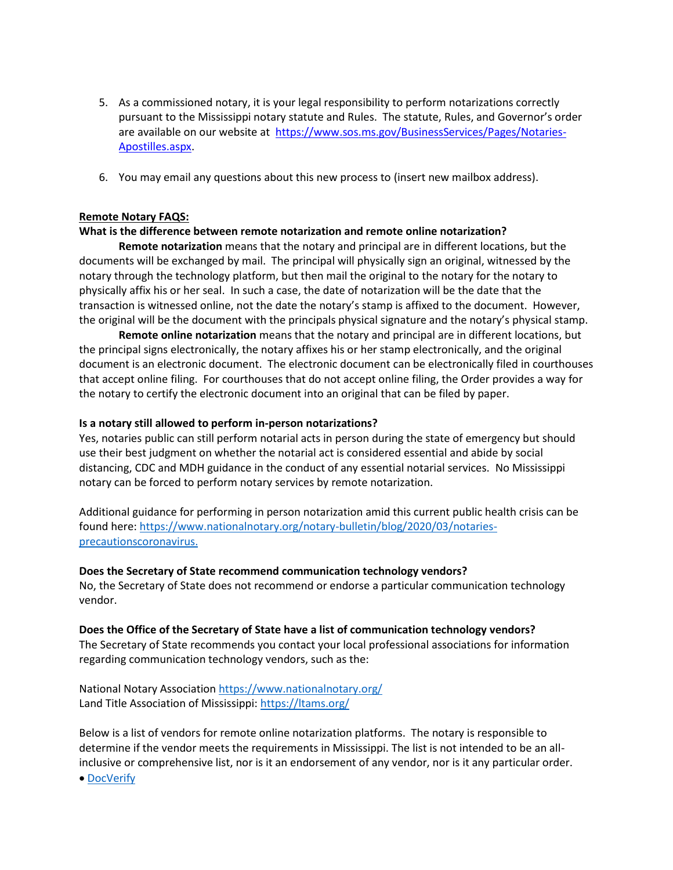- 5. As a commissioned notary, it is your legal responsibility to perform notarizations correctly pursuant to the Mississippi notary statute and Rules. The statute, Rules, and Governor's order are available on our website at [https://www.sos.ms.gov/BusinessServices/Pages/Notaries-](https://www.sos.ms.gov/BusinessServices/Pages/Notaries-Apostilles.aspx)[Apostilles.aspx.](https://www.sos.ms.gov/BusinessServices/Pages/Notaries-Apostilles.aspx)
- 6. You may email any questions about this new process to (insert new mailbox address).

## **Remote Notary FAQS:**

### **What is the difference between remote notarization and remote online notarization?**

**Remote notarization** means that the notary and principal are in different locations, but the documents will be exchanged by mail. The principal will physically sign an original, witnessed by the notary through the technology platform, but then mail the original to the notary for the notary to physically affix his or her seal. In such a case, the date of notarization will be the date that the transaction is witnessed online, not the date the notary's stamp is affixed to the document. However, the original will be the document with the principals physical signature and the notary's physical stamp.

**Remote online notarization** means that the notary and principal are in different locations, but the principal signs electronically, the notary affixes his or her stamp electronically, and the original document is an electronic document. The electronic document can be electronically filed in courthouses that accept online filing. For courthouses that do not accept online filing, the Order provides a way for the notary to certify the electronic document into an original that can be filed by paper.

#### **Is a notary still allowed to perform in-person notarizations?**

Yes, notaries public can still perform notarial acts in person during the state of emergency but should use their best judgment on whether the notarial act is considered essential and abide by social distancing, CDC and MDH guidance in the conduct of any essential notarial services. No Mississippi notary can be forced to perform notary services by remote notarization.

Additional guidance for performing in person notarization amid this current public health crisis can be found here: [https://www.nationalnotary.org/notary-bulletin/blog/2020/03/notaries](https://www.nationalnotary.org/notary-bulletin/blog/2020/03/notaries-precautionscoronavirus.)[precautionscoronavirus.](https://www.nationalnotary.org/notary-bulletin/blog/2020/03/notaries-precautionscoronavirus.)

#### **Does the Secretary of State recommend communication technology vendors?**

No, the Secretary of State does not recommend or endorse a particular communication technology vendor.

#### **Does the Office of the Secretary of State have a list of communication technology vendors?**

The Secretary of State recommends you contact your local professional associations for information regarding communication technology vendors, such as the:

National Notary Association<https://www.nationalnotary.org/> Land Title Association of Mississippi:<https://ltams.org/>

Below is a list of vendors for remote online notarization platforms. The notary is responsible to determine if the vendor meets the requirements in Mississippi. The list is not intended to be an allinclusive or comprehensive list, nor is it an endorsement of any vendor, nor is it any particular order.

[DocVerify](https://www.docverify.com/)